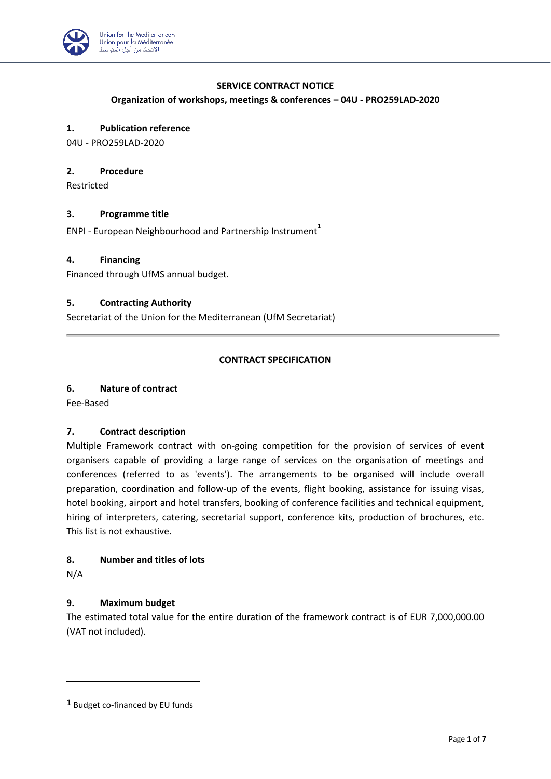

## **SERVICE CONTRACT NOTICE**

### **Organization of workshops, meetings & conferences – 04U - PRO259LAD-2020**

# **1. Publication reference**

04U - PRO259LAD-2020

#### **2. Procedure**

Restricted

### **3. Programme title**

ENPI - European Neighbourhood and Partnership Instrument<sup>1</sup>

### **4. Financing**

Financed through UfMS annual budget.

## **5. Contracting Authority**

Secretariat of the Union for the Mediterranean (UfM Secretariat)

### **CONTRACT SPECIFICATION**

### **6. Nature of contract**

Fee-Based

### **7. Contract description**

Multiple Framework contract with on-going competition for the provision of services of event organisers capable of providing a large range of services on the organisation of meetings and conferences (referred to as 'events'). The arrangements to be organised will include overall preparation, coordination and follow-up of the events, flight booking, assistance for issuing visas, hotel booking, airport and hotel transfers, booking of conference facilities and technical equipment, hiring of interpreters, catering, secretarial support, conference kits, production of brochures, etc. This list is not exhaustive.

### **8. Number and titles of lots**

N/A

# **9. Maximum budget**

The estimated total value for the entire duration of the framework contract is of EUR 7,000,000.00 (VAT not included).

<sup>1</sup> Budget co-financed by EU funds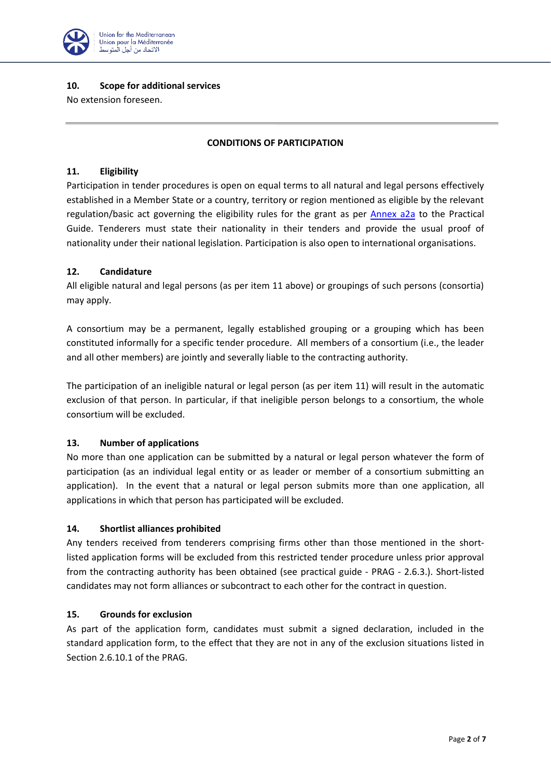

### **10. Scope for additional services**

No extension foreseen.

## **CONDITIONS OF PARTICIPATION**

### **11. Eligibility**

Participation in tender procedures is open on equal terms to all natural and legal persons effectively established in a Member State or a country, territory or region mentioned as eligible by the relevant regulation/basic act governing the eligibility rules for the grant as per [Annex a2a](https://ec.europa.eu/europeaid/prag/annexes.do?annexName=A2a&lang=en) to the Practical Guide. Tenderers must state their nationality in their tenders and provide the usual proof of nationality under their national legislation. Participation is also open to international organisations.

## **12. Candidature**

All eligible natural and legal persons (as per item 11 above) or groupings of such persons (consortia) may apply.

A consortium may be a permanent, legally established grouping or a grouping which has been constituted informally for a specific tender procedure. All members of a consortium (i.e., the leader and all other members) are jointly and severally liable to the contracting authority.

The participation of an ineligible natural or legal person (as per item 11) will result in the automatic exclusion of that person. In particular, if that ineligible person belongs to a consortium, the whole consortium will be excluded.

# **13. Number of applications**

No more than one application can be submitted by a natural or legal person whatever the form of participation (as an individual legal entity or as leader or member of a consortium submitting an application). In the event that a natural or legal person submits more than one application, all applications in which that person has participated will be excluded.

### **14. Shortlist alliances prohibited**

Any tenders received from tenderers comprising firms other than those mentioned in the shortlisted application forms will be excluded from this restricted tender procedure unless prior approval from the contracting authority has been obtained (see practical guide - PRAG - 2.6.3.). Short-listed candidates may not form alliances or subcontract to each other for the contract in question.

### **15. Grounds for exclusion**

As part of the application form, candidates must submit a signed declaration, included in the standard application form, to the effect that they are not in any of the exclusion situations listed in Section 2.6.10.1 of the PRAG.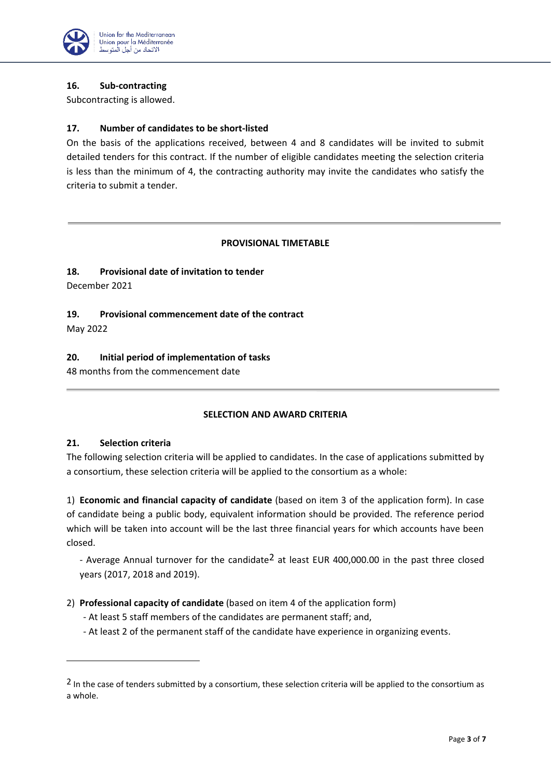

## **16. Sub-contracting**

Subcontracting is allowed.

## **17. Number of candidates to be short-listed**

On the basis of the applications received, between 4 and 8 candidates will be invited to submit detailed tenders for this contract. If the number of eligible candidates meeting the selection criteria is less than the minimum of 4, the contracting authority may invite the candidates who satisfy the criteria to submit a tender.

## **PROVISIONAL TIMETABLE**

# **18. Provisional date of invitation to tender**

December 2021

**19. Provisional commencement date of the contract**

May 2022

## **20. Initial period of implementation of tasks**

48 months from the commencement date

# **SELECTION AND AWARD CRITERIA**

### **21. Selection criteria**

The following selection criteria will be applied to candidates. In the case of applications submitted by a consortium, these selection criteria will be applied to the consortium as a whole:

1) **Economic and financial capacity of candidate** (based on item 3 of the application form). In case of candidate being a public body, equivalent information should be provided. The reference period which will be taken into account will be the last three financial years for which accounts have been closed.

- Average Annual turnover for the candidate<sup>2</sup> at least EUR 400,000.00 in the past three closed years (2017, 2018 and 2019).

- 2) **Professional capacity of candidate** (based on item 4 of the application form)
	- At least 5 staff members of the candidates are permanent staff; and,
	- At least 2 of the permanent staff of the candidate have experience in organizing events.

<sup>&</sup>lt;sup>2</sup> In the case of tenders submitted by a consortium, these selection criteria will be applied to the consortium as a whole.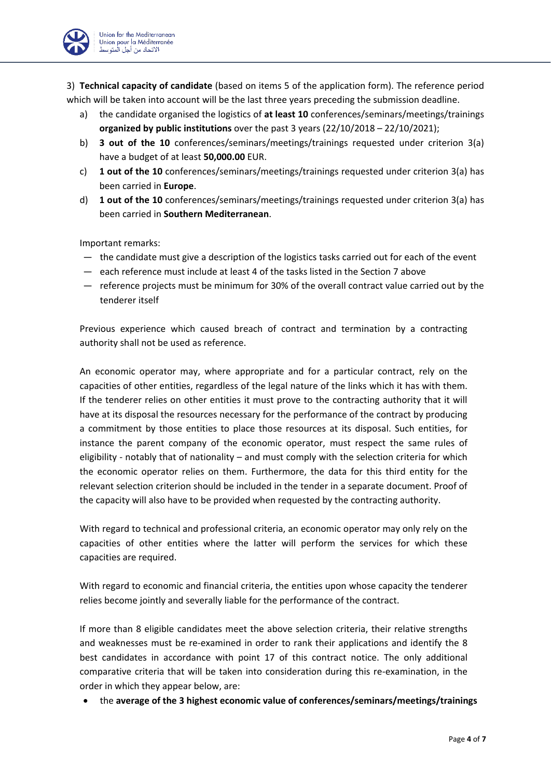3) **Technical capacity of candidate** (based on items 5 of the application form). The reference period which will be taken into account will be the last three years preceding the submission deadline.

- a) the candidate organised the logistics of **at least 10** conferences/seminars/meetings/trainings **organized by public institutions** over the past 3 years (22/10/2018 – 22/10/2021);
- b) **3 out of the 10** conferences/seminars/meetings/trainings requested under criterion 3(a) have a budget of at least **50,000.00** EUR.
- c) **1 out of the 10** conferences/seminars/meetings/trainings requested under criterion 3(a) has been carried in **Europe**.
- d) **1 out of the 10** conferences/seminars/meetings/trainings requested under criterion 3(a) has been carried in **Southern Mediterranean**.

Important remarks:

- the candidate must give a description of the logistics tasks carried out for each of the event
- each reference must include at least 4 of the tasks listed in the Section 7 above
- reference projects must be minimum for 30% of the overall contract value carried out by the tenderer itself

Previous experience which caused breach of contract and termination by a contracting authority shall not be used as reference.

An economic operator may, where appropriate and for a particular contract, rely on the capacities of other entities, regardless of the legal nature of the links which it has with them. If the tenderer relies on other entities it must prove to the contracting authority that it will have at its disposal the resources necessary for the performance of the contract by producing a commitment by those entities to place those resources at its disposal. Such entities, for instance the parent company of the economic operator, must respect the same rules of eligibility - notably that of nationality – and must comply with the selection criteria for which the economic operator relies on them. Furthermore, the data for this third entity for the relevant selection criterion should be included in the tender in a separate document. Proof of the capacity will also have to be provided when requested by the contracting authority.

With regard to technical and professional criteria, an economic operator may only rely on the capacities of other entities where the latter will perform the services for which these capacities are required.

With regard to economic and financial criteria, the entities upon whose capacity the tenderer relies become jointly and severally liable for the performance of the contract.

If more than 8 eligible candidates meet the above selection criteria, their relative strengths and weaknesses must be re-examined in order to rank their applications and identify the 8 best candidates in accordance with point 17 of this contract notice. The only additional comparative criteria that will be taken into consideration during this re-examination, in the order in which they appear below, are:

• the **average of the 3 highest economic value of conferences/seminars/meetings/trainings**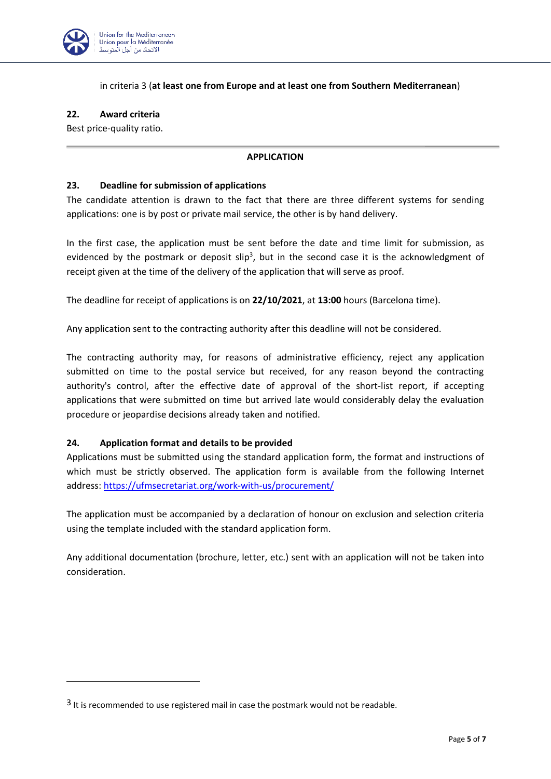

## in criteria 3 (**at least one from Europe and at least one from Southern Mediterranean**)

### **22. Award criteria**

Best price-quality ratio.

### **APPLICATION**

#### **23. Deadline for submission of applications**

The candidate attention is drawn to the fact that there are three different systems for sending applications: one is by post or private mail service, the other is by hand delivery.

In the first case, the application must be sent before the date and time limit for submission, as evidenced by the postmark or deposit slip<sup>3</sup>, but in the second case it is the acknowledgment of receipt given at the time of the delivery of the application that will serve as proof.

The deadline for receipt of applications is on **22/10/2021**, at **13:00** hours (Barcelona time).

Any application sent to the contracting authority after this deadline will not be considered.

The contracting authority may, for reasons of administrative efficiency, reject any application submitted on time to the postal service but received, for any reason beyond the contracting authority's control, after the effective date of approval of the short-list report, if accepting applications that were submitted on time but arrived late would considerably delay the evaluation procedure or jeopardise decisions already taken and notified.

### **24. Application format and details to be provided**

Applications must be submitted using the standard application form, the format and instructions of which must be strictly observed. The application form is available from the following Internet address: <https://ufmsecretariat.org/work-with-us/procurement/>

The application must be accompanied by a declaration of honour on exclusion and selection criteria using the template included with the standard application form.

Any additional documentation (brochure, letter, etc.) sent with an application will not be taken into consideration.

<sup>&</sup>lt;sup>3</sup> It is recommended to use registered mail in case the postmark would not be readable.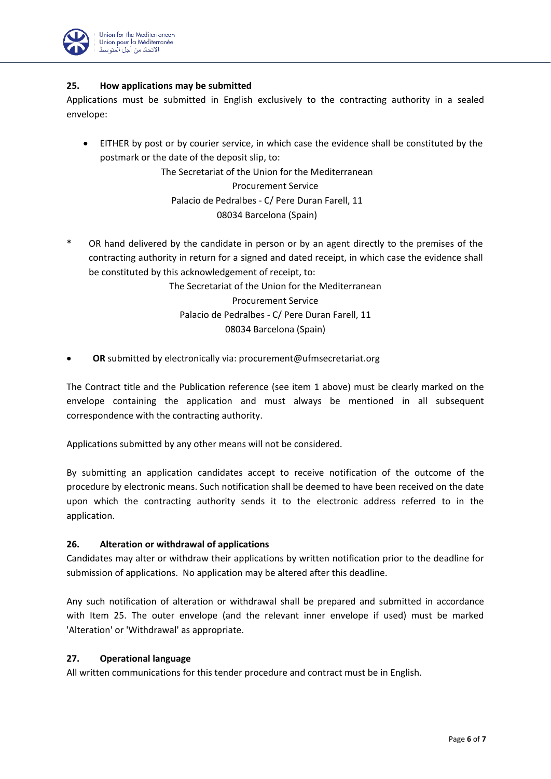

## **25. How applications may be submitted**

Applications must be submitted in English exclusively to the contracting authority in a sealed envelope:

• EITHER by post or by courier service, in which case the evidence shall be constituted by the postmark or the date of the deposit slip, to:

> The Secretariat of the Union for the Mediterranean Procurement Service Palacio de Pedralbes - C/ Pere Duran Farell, 11 08034 Barcelona (Spain)

OR hand delivered by the candidate in person or by an agent directly to the premises of the contracting authority in return for a signed and dated receipt, in which case the evidence shall be constituted by this acknowledgement of receipt, to:

> The Secretariat of the Union for the Mediterranean Procurement Service Palacio de Pedralbes - C/ Pere Duran Farell, 11 08034 Barcelona (Spain)

• **OR** submitted by electronically via: [procurement@ufmsecretariat.org](mailto:procurement@ufmsecretariat.org)

The Contract title and the Publication reference (see item 1 above) must be clearly marked on the envelope containing the application and must always be mentioned in all subsequent correspondence with the contracting authority.

Applications submitted by any other means will not be considered.

By submitting an application candidates accept to receive notification of the outcome of the procedure by electronic means. Such notification shall be deemed to have been received on the date upon which the contracting authority sends it to the electronic address referred to in the application.

# **26. Alteration or withdrawal of applications**

Candidates may alter or withdraw their applications by written notification prior to the deadline for submission of applications. No application may be altered after this deadline.

Any such notification of alteration or withdrawal shall be prepared and submitted in accordance with Item 25. The outer envelope (and the relevant inner envelope if used) must be marked 'Alteration' or 'Withdrawal' as appropriate.

### **27. Operational language**

All written communications for this tender procedure and contract must be in English.